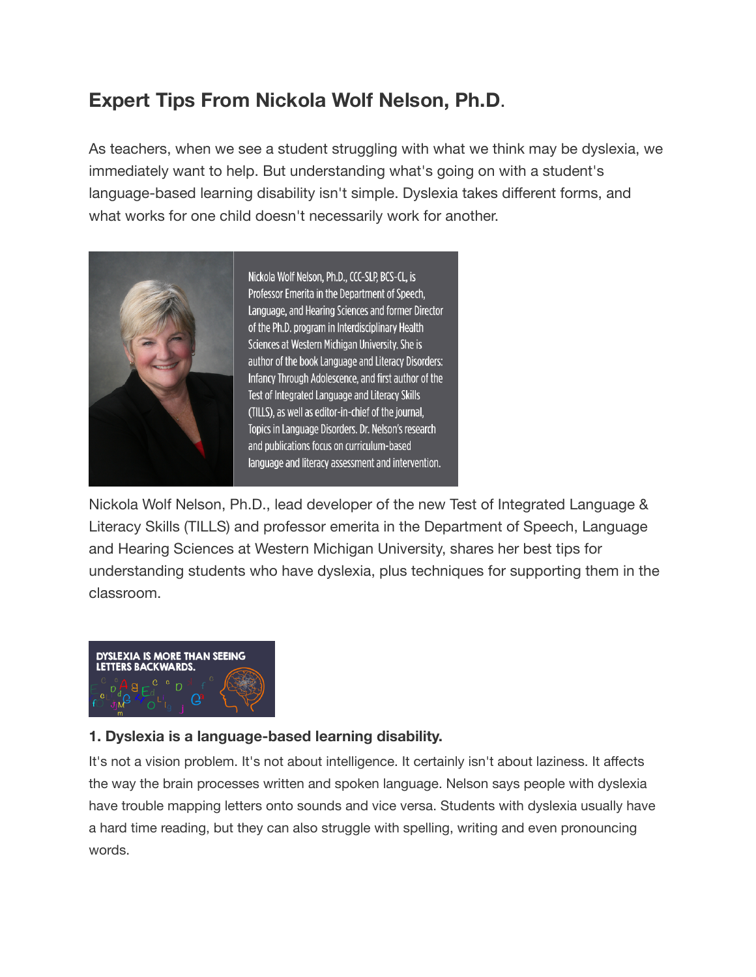# **Expert Tips From Nickola Wolf Nelson, Ph.D**.

As teachers, when we see a student struggling with what we think may be dyslexia, we immediately want to help. But understanding what's going on with a student's language-based learning disability isn't simple. Dyslexia takes different forms, and what works for one child doesn't necessarily work for another.



Nickola Wolf Nelson, Ph.D., CCC-SLP, BCS-CL, is Professor Emerita in the Department of Speech, Language, and Hearing Sciences and former Director of the Ph.D. program in Interdisciplinary Health Sciences at Western Michigan University. She is author of the book Language and Literacy Disorders: Infancy Through Adolescence, and first author of the Test of Integrated Language and Literacy Skills (TILLS), as well as editor-in-chief of the journal, Topics in Language Disorders. Dr. Nelson's research and publications focus on curriculum-based language and literacy assessment and intervention.

Nickola Wolf Nelson, Ph.D., lead developer of the new Test of Integrated Language & Literacy Skills (TILLS) and professor emerita in the Department of Speech, Language and Hearing Sciences at Western Michigan University, shares her best tips for understanding students who have dyslexia, plus techniques for supporting them in the classroom.



## **1. Dyslexia is a language-based learning disability.**

It's not a vision problem. It's not about intelligence. It certainly isn't about laziness. It affects the way the brain processes written and spoken language. Nelson says people with dyslexia have trouble mapping letters onto sounds and vice versa. Students with dyslexia usually have a hard time reading, but they can also struggle with spelling, writing and even pronouncing words.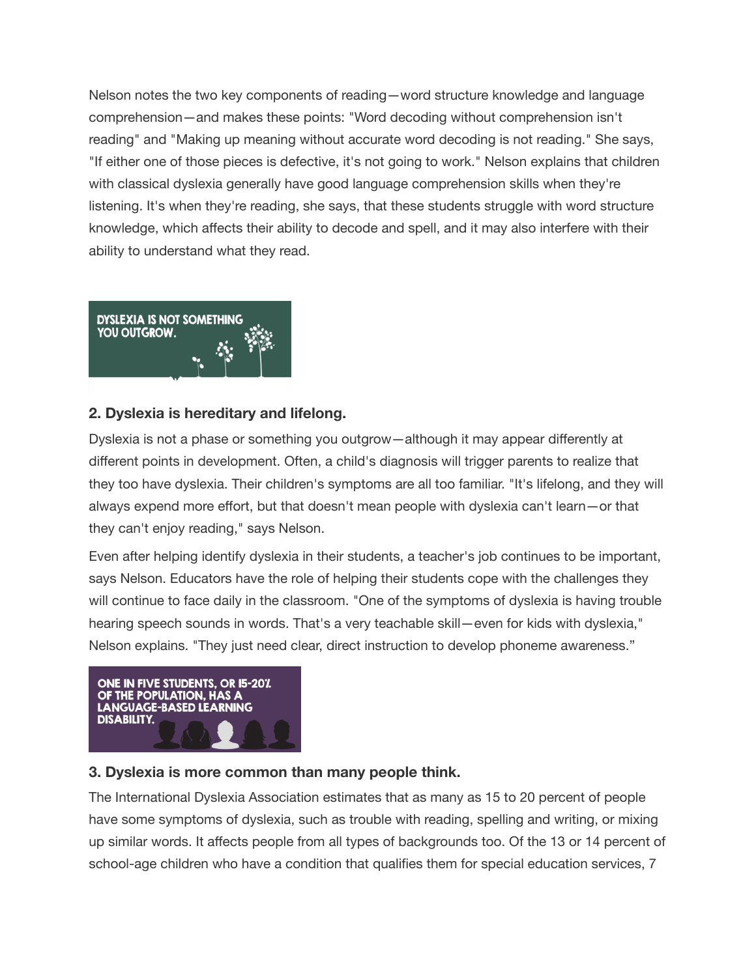Nelson notes the two key components of reading—word structure knowledge and language comprehension—and makes these points: "Word decoding without comprehension isn't reading" and "Making up meaning without accurate word decoding is not reading." She says, "If either one of those pieces is defective, it's not going to work." Nelson explains that children with classical dyslexia generally have good language comprehension skills when they're listening. It's when they're reading, she says, that these students struggle with word structure knowledge, which affects their ability to decode and spell, and it may also interfere with their ability to understand what they read.



## **2. Dyslexia is hereditary and lifelong.**

Dyslexia is not a phase or something you outgrow—although it may appear differently at different points in development. Often, a child's diagnosis will trigger parents to realize that they too have dyslexia. Their children's symptoms are all too familiar. "It's lifelong, and they will always expend more effort, but that doesn't mean people with dyslexia can't learn—or that they can't enjoy reading," says Nelson.

Even after helping identify dyslexia in their students, a teacher's job continues to be important, says Nelson. Educators have the role of helping their students cope with the challenges they will continue to face daily in the classroom. "One of the symptoms of dyslexia is having trouble hearing speech sounds in words. That's a very teachable skill—even for kids with dyslexia," Nelson explains. "They just need clear, direct instruction to develop phoneme awareness."



#### **3. Dyslexia is more common than many people think.**

The International Dyslexia Association estimates that as many as 15 to 20 percent of people have some symptoms of dyslexia, such as trouble with reading, spelling and writing, or mixing up similar words. It affects people from all types of backgrounds too. Of the 13 or 14 percent of school-age children who have a condition that qualifies them for special education services, 7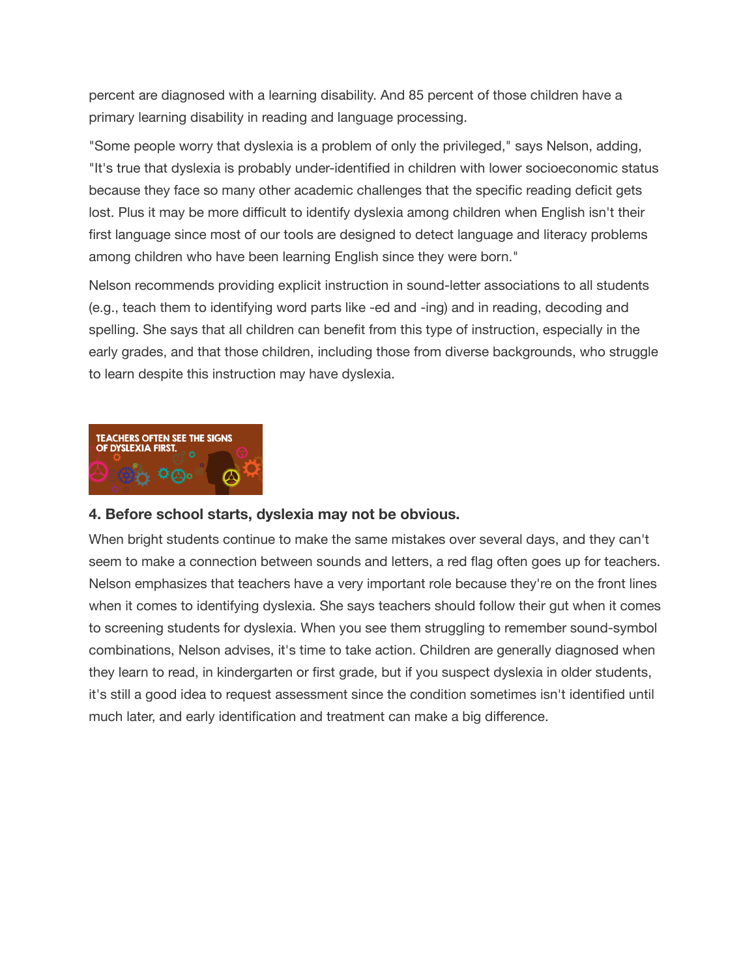percent are diagnosed with a learning disability. And 85 percent of those children have a primary learning disability in reading and language processing.

"Some people worry that dyslexia is a problem of only the privileged," says Nelson, adding, "It's true that dyslexia is probably under-identified in children with lower socioeconomic status because they face so many other academic challenges that the specific reading deficit gets lost. Plus it may be more difficult to identify dyslexia among children when English isn't their first language since most of our tools are designed to detect language and literacy problems among children who have been learning English since they were born."

Nelson recommends providing explicit instruction in sound-letter associations to all students (e.g., teach them to identifying word parts like -ed and -ing) and in reading, decoding and spelling. She says that all children can benefit from this type of instruction, especially in the early grades, and that those children, including those from diverse backgrounds, who struggle to learn despite this instruction may have dyslexia.



#### **4. Before school starts, dyslexia may not be obvious.**

When bright students continue to make the same mistakes over several days, and they can't seem to make a connection between sounds and letters, a red flag often goes up for teachers. Nelson emphasizes that teachers have a very important role because they're on the front lines when it comes to identifying dyslexia. She says teachers should follow their gut when it comes to screening students for dyslexia. When you see them struggling to remember sound-symbol combinations, Nelson advises, it's time to take action. Children are generally diagnosed when they learn to read, in kindergarten or first grade, but if you suspect dyslexia in older students, it's still a good idea to request assessment since the condition sometimes isn't identified until much later, and early identification and treatment can make a big difference.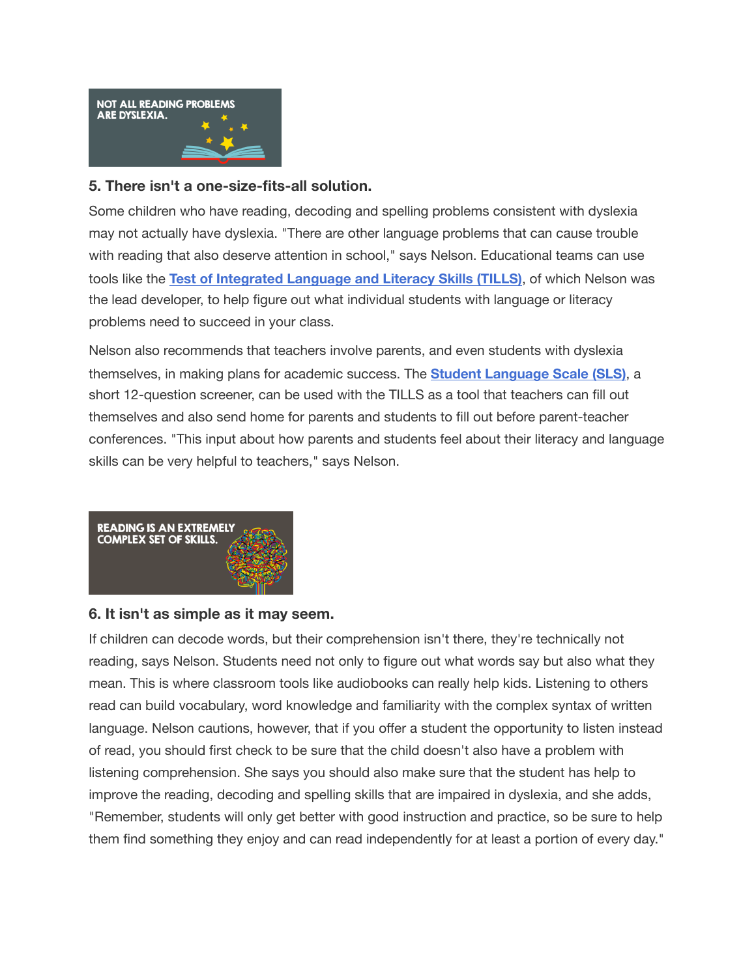

#### **5. There isn't a one-size-fits-all solution.**

Some children who have reading, decoding and spelling problems consistent with dyslexia may not actually have dyslexia. "There are other language problems that can cause trouble with reading that also deserve attention in school," says Nelson. Educational teams can use tools like the **[Test of Integrated Language and Literacy Skills \(TILLS\)](http://products.brookespublishing.com/Test-of-Integrated-Language-and-Literacy-Skills-TILLS-Test-Examiners-Kit-P846.aspx?utm_source=WeAreTeachers&utm_campaign=PBSLearningMedia&utm_medium=Article4&utm_content=No5)**, of which Nelson was the lead developer, to help figure out what individual students with language or literacy problems need to succeed in your class.

Nelson also recommends that teachers involve parents, and even students with dyslexia themselves, in making plans for academic success. The **[Student Language Scale \(SLS\)](http://products.brookespublishing.com/TILLS-Student-Language-Scale-SLS-P877.aspx?utm_source=WeAreTeachers&utm_campaign=PBSLearningMedia&utm_medium=Article4&utm_content=StudentLangScale)**, a short 12-question screener, can be used with the TILLS as a tool that teachers can fill out themselves and also send home for parents and students to fill out before parent-teacher conferences. "This input about how parents and students feel about their literacy and language skills can be very helpful to teachers," says Nelson.



#### **6. It isn't as simple as it may seem.**

If children can decode words, but their comprehension isn't there, they're technically not reading, says Nelson. Students need not only to figure out what words say but also what they mean. This is where classroom tools like audiobooks can really help kids. Listening to others read can build vocabulary, word knowledge and familiarity with the complex syntax of written language. Nelson cautions, however, that if you offer a student the opportunity to listen instead of read, you should first check to be sure that the child doesn't also have a problem with listening comprehension. She says you should also make sure that the student has help to improve the reading, decoding and spelling skills that are impaired in dyslexia, and she adds, "Remember, students will only get better with good instruction and practice, so be sure to help them find something they enjoy and can read independently for at least a portion of every day."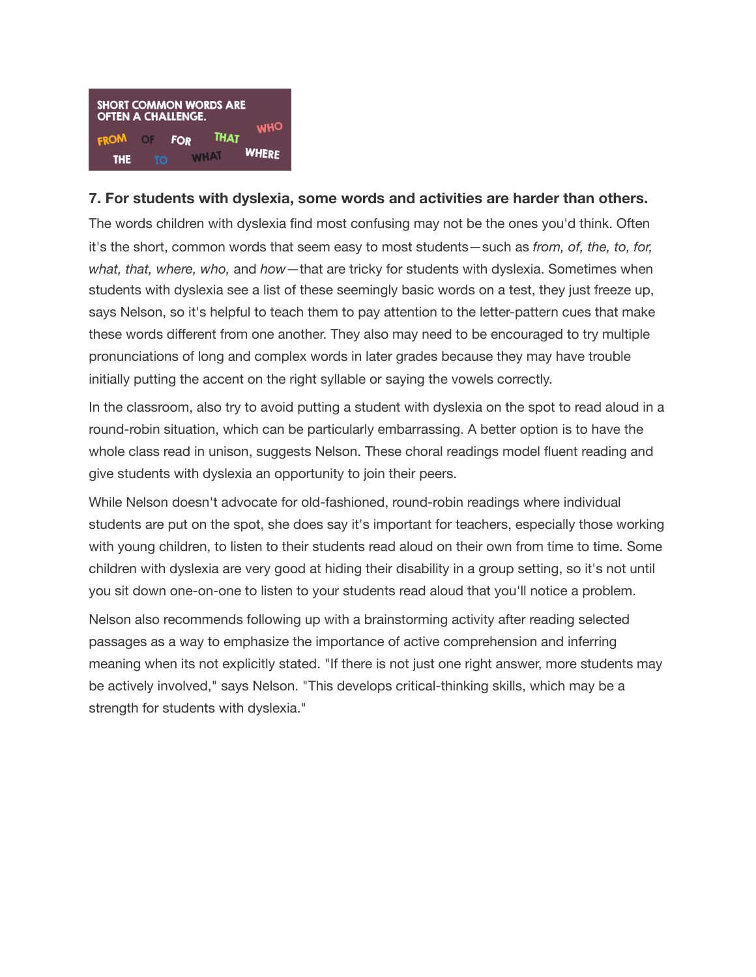

#### **7. For students with dyslexia, some words and activities are harder than others.**

The words children with dyslexia find most confusing may not be the ones you'd think. Often it's the short, common words that seem easy to most students—such as *from, of, the, to, for, what, that, where, who,* and *how*—that are tricky for students with dyslexia. Sometimes when students with dyslexia see a list of these seemingly basic words on a test, they just freeze up, says Nelson, so it's helpful to teach them to pay attention to the letter-pattern cues that make these words different from one another. They also may need to be encouraged to try multiple pronunciations of long and complex words in later grades because they may have trouble initially putting the accent on the right syllable or saying the vowels correctly.

In the classroom, also try to avoid putting a student with dyslexia on the spot to read aloud in a round-robin situation, which can be particularly embarrassing. A better option is to have the whole class read in unison, suggests Nelson. These choral readings model fluent reading and give students with dyslexia an opportunity to join their peers.

While Nelson doesn't advocate for old-fashioned, round-robin readings where individual students are put on the spot, she does say it's important for teachers, especially those working with young children, to listen to their students read aloud on their own from time to time. Some children with dyslexia are very good at hiding their disability in a group setting, so it's not until you sit down one-on-one to listen to your students read aloud that you'll notice a problem.

Nelson also recommends following up with a brainstorming activity after reading selected passages as a way to emphasize the importance of active comprehension and inferring meaning when its not explicitly stated. "If there is not just one right answer, more students may be actively involved," says Nelson. "This develops critical-thinking skills, which may be a strength for students with dyslexia."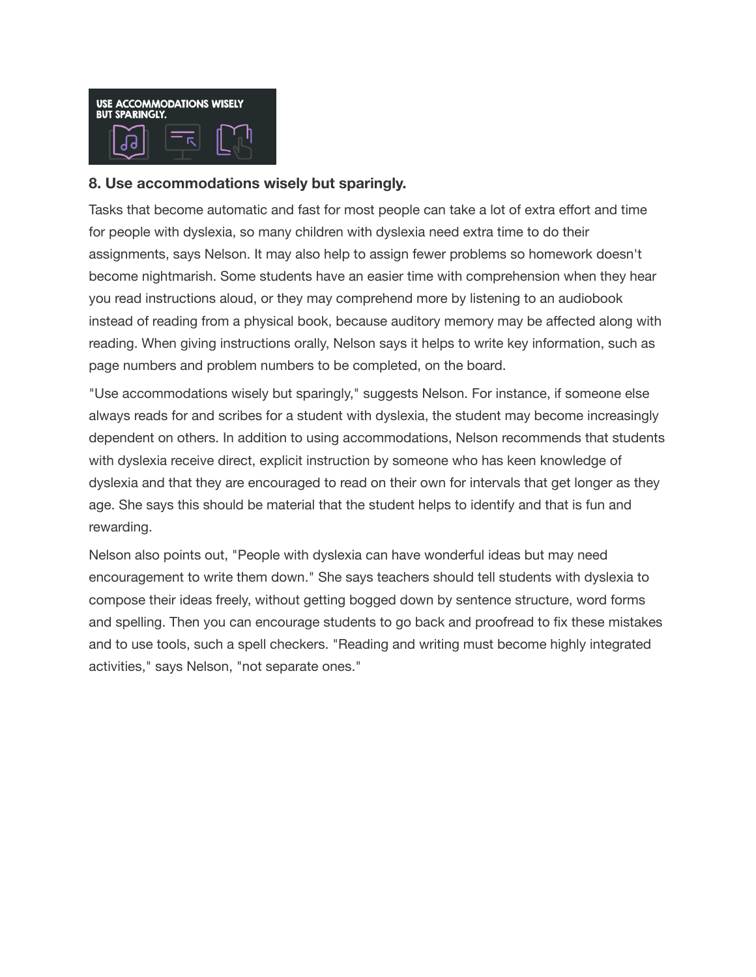

#### **8. Use accommodations wisely but sparingly.**

Tasks that become automatic and fast for most people can take a lot of extra effort and time for people with dyslexia, so many children with dyslexia need extra time to do their assignments, says Nelson. It may also help to assign fewer problems so homework doesn't become nightmarish. Some students have an easier time with comprehension when they hear you read instructions aloud, or they may comprehend more by listening to an audiobook instead of reading from a physical book, because auditory memory may be affected along with reading. When giving instructions orally, Nelson says it helps to write key information, such as page numbers and problem numbers to be completed, on the board.

"Use accommodations wisely but sparingly," suggests Nelson. For instance, if someone else always reads for and scribes for a student with dyslexia, the student may become increasingly dependent on others. In addition to using accommodations, Nelson recommends that students with dyslexia receive direct, explicit instruction by someone who has keen knowledge of dyslexia and that they are encouraged to read on their own for intervals that get longer as they age. She says this should be material that the student helps to identify and that is fun and rewarding.

Nelson also points out, "People with dyslexia can have wonderful ideas but may need encouragement to write them down." She says teachers should tell students with dyslexia to compose their ideas freely, without getting bogged down by sentence structure, word forms and spelling. Then you can encourage students to go back and proofread to fix these mistakes and to use tools, such a spell checkers. "Reading and writing must become highly integrated activities," says Nelson, "not separate ones."